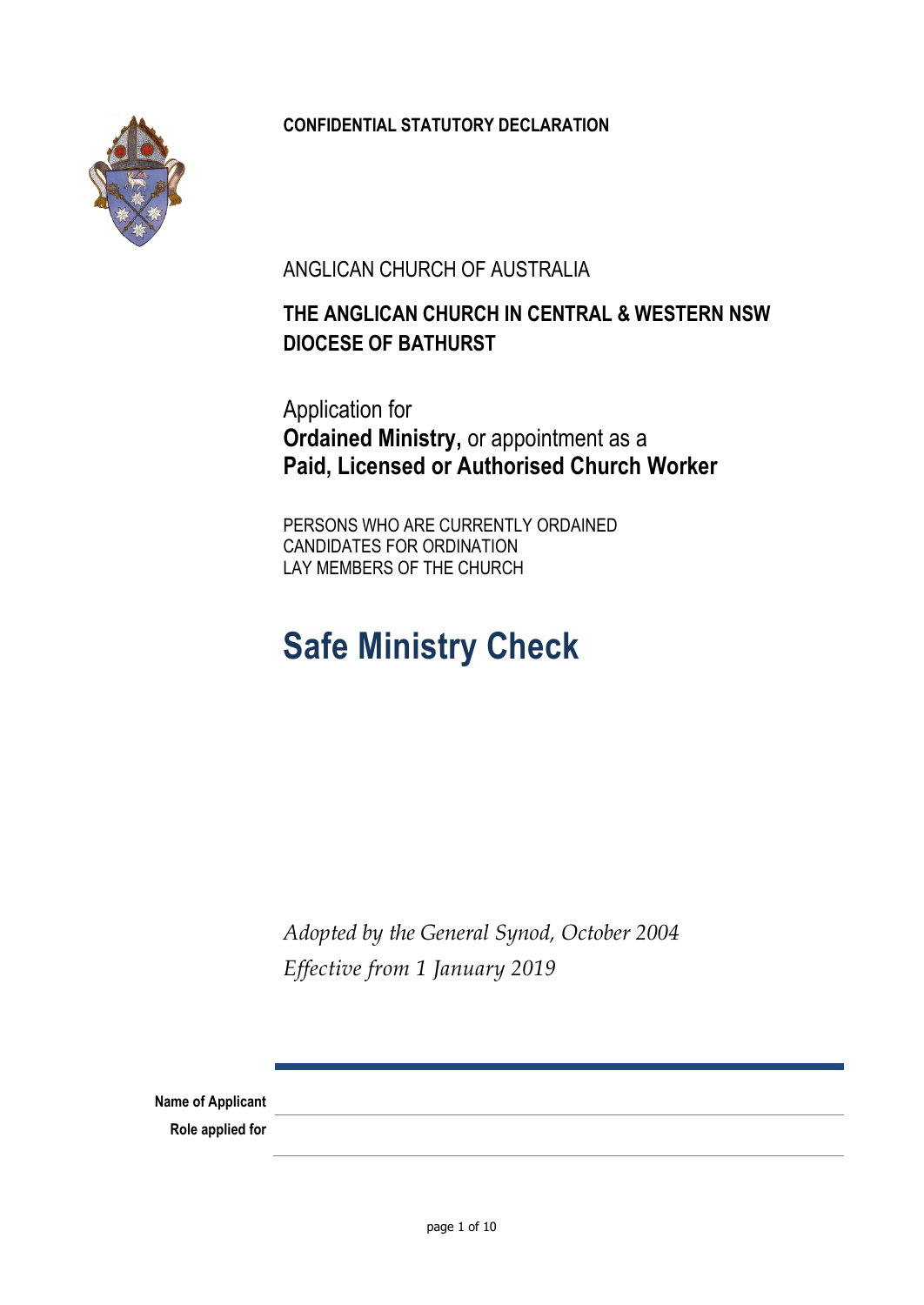

## **CONFIDENTIAL STATUTORY DECLARATION**

ANGLICAN CHURCH OF AUSTRALIA

# **THE ANGLICAN CHURCH IN CENTRAL & WESTERN NSW DIOCESE OF BATHURST**

Application for **Ordained Ministry,** or appointment as a **Paid, Licensed or Authorised Church Worker**

PERSONS WHO ARE CURRENTLY ORDAINED CANDIDATES FOR ORDINATION LAY MEMBERS OF THE CHURCH

# **Safe Ministry Check**

*Adopted by the General Synod, October 2004 Effective from 1 January 2019*

**Name of Applicant**

**Role applied for**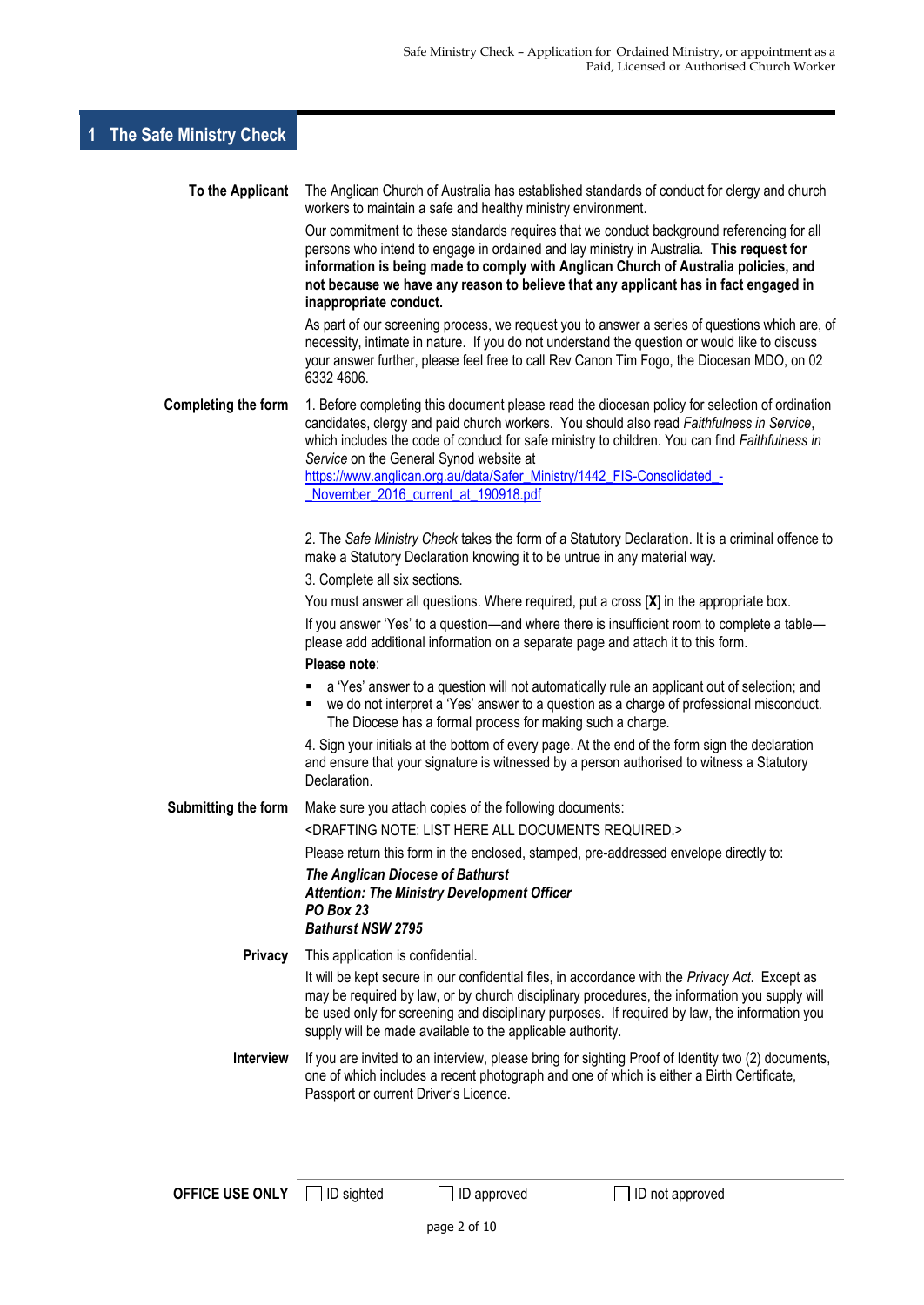# **1 The Safe Ministry Check**

| To the Applicant           | The Anglican Church of Australia has established standards of conduct for clergy and church<br>workers to maintain a safe and healthy ministry environment.                                                                                                                                                                                                                                                         |
|----------------------------|---------------------------------------------------------------------------------------------------------------------------------------------------------------------------------------------------------------------------------------------------------------------------------------------------------------------------------------------------------------------------------------------------------------------|
|                            | Our commitment to these standards requires that we conduct background referencing for all<br>persons who intend to engage in ordained and lay ministry in Australia. This request for<br>information is being made to comply with Anglican Church of Australia policies, and<br>not because we have any reason to believe that any applicant has in fact engaged in<br>inappropriate conduct.                       |
|                            | As part of our screening process, we request you to answer a series of questions which are, of<br>necessity, intimate in nature. If you do not understand the question or would like to discuss<br>your answer further, please feel free to call Rev Canon Tim Fogo, the Diocesan MDO, on 02<br>6332 4606.                                                                                                          |
| <b>Completing the form</b> | 1. Before completing this document please read the diocesan policy for selection of ordination<br>candidates, clergy and paid church workers. You should also read Faithfulness in Service,<br>which includes the code of conduct for safe ministry to children. You can find Faithfulness in<br>Service on the General Synod website at<br>https://www.anglican.org.au/data/Safer_Ministry/1442_FIS-Consolidated_- |
|                            | November_2016_current_at_190918.pdf                                                                                                                                                                                                                                                                                                                                                                                 |
|                            | 2. The Safe Ministry Check takes the form of a Statutory Declaration. It is a criminal offence to<br>make a Statutory Declaration knowing it to be untrue in any material way.                                                                                                                                                                                                                                      |
|                            | 3. Complete all six sections.                                                                                                                                                                                                                                                                                                                                                                                       |
|                            | You must answer all questions. Where required, put a cross [X] in the appropriate box.                                                                                                                                                                                                                                                                                                                              |
|                            | If you answer 'Yes' to a question—and where there is insufficient room to complete a table—<br>please add additional information on a separate page and attach it to this form.                                                                                                                                                                                                                                     |
|                            | Please note:                                                                                                                                                                                                                                                                                                                                                                                                        |
|                            | a 'Yes' answer to a question will not automatically rule an applicant out of selection; and<br>٠<br>we do not interpret a 'Yes' answer to a question as a charge of professional misconduct.<br>The Diocese has a formal process for making such a charge.                                                                                                                                                          |
|                            | 4. Sign your initials at the bottom of every page. At the end of the form sign the declaration<br>and ensure that your signature is witnessed by a person authorised to witness a Statutory<br>Declaration.                                                                                                                                                                                                         |
| Submitting the form        | Make sure you attach copies of the following documents:                                                                                                                                                                                                                                                                                                                                                             |
|                            | <drafting all="" documents="" here="" list="" note:="" required.=""></drafting>                                                                                                                                                                                                                                                                                                                                     |
|                            | Please return this form in the enclosed, stamped, pre-addressed envelope directly to:                                                                                                                                                                                                                                                                                                                               |
|                            | The Anglican Diocese of Bathurst<br><b>Attention: The Ministry Development Officer</b><br><b>PO Box 23</b><br><b>Bathurst NSW 2795</b>                                                                                                                                                                                                                                                                              |
| <b>Privacy</b>             | This application is confidential.                                                                                                                                                                                                                                                                                                                                                                                   |
|                            | It will be kept secure in our confidential files, in accordance with the Privacy Act. Except as<br>may be required by law, or by church disciplinary procedures, the information you supply will<br>be used only for screening and disciplinary purposes. If required by law, the information you<br>supply will be made available to the applicable authority.                                                     |
| <b>Interview</b>           | If you are invited to an interview, please bring for sighting Proof of Identity two (2) documents,<br>one of which includes a recent photograph and one of which is either a Birth Certificate,<br>Passport or current Driver's Licence.                                                                                                                                                                            |
|                            |                                                                                                                                                                                                                                                                                                                                                                                                                     |

**OFFICE USE ONLY** □ ID sighted □ ID approved □ ID not approved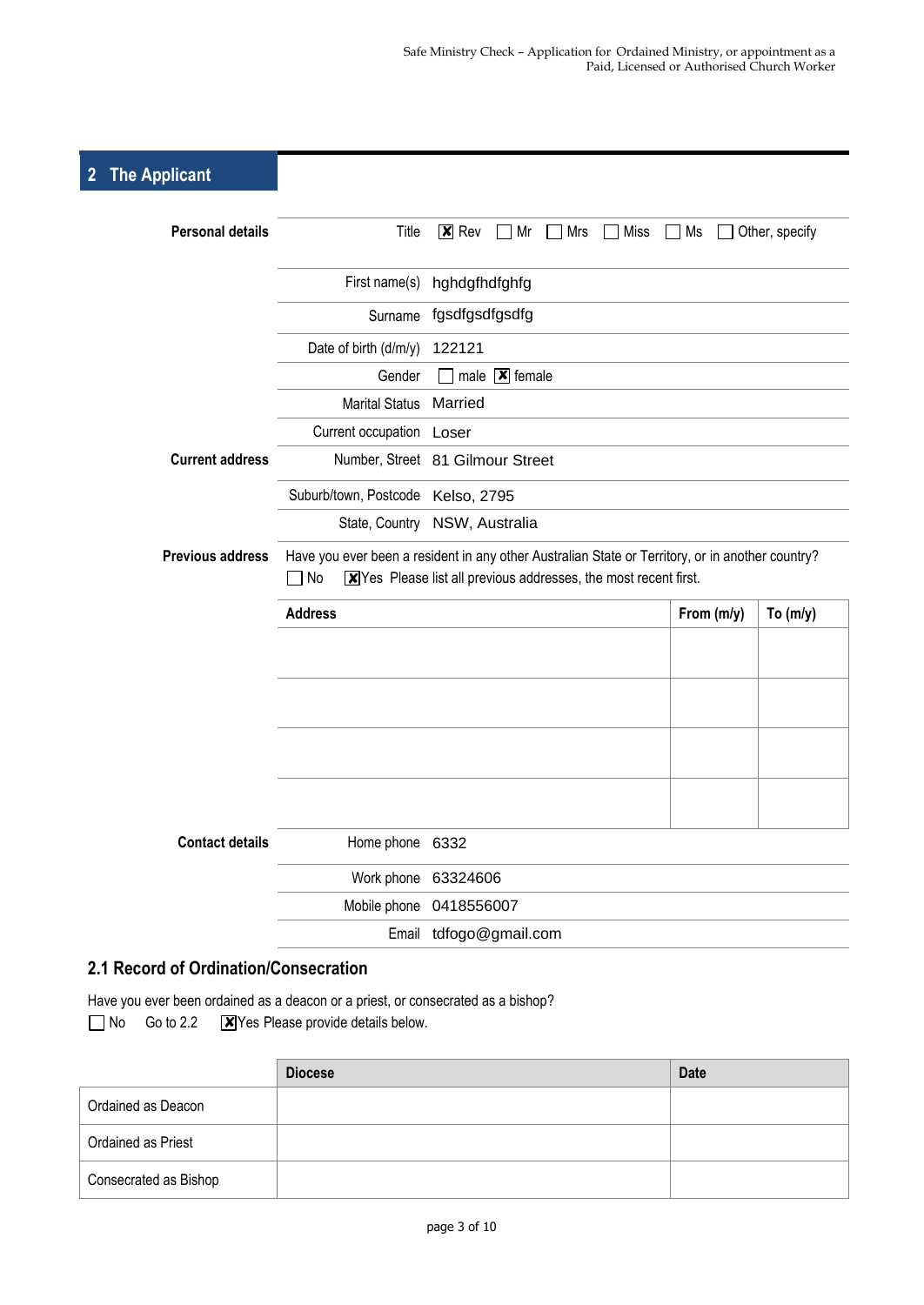# **2 The Applicant**

| <b>Personal details</b> | Title                             | $ \mathbf{x} $ Rev<br>Miss<br>Mr<br>Mrs<br>Ms<br>Other, specify                                                                                                                |  |  |  |
|-------------------------|-----------------------------------|--------------------------------------------------------------------------------------------------------------------------------------------------------------------------------|--|--|--|
|                         |                                   | First name(s) hghdgfhdfghfg                                                                                                                                                    |  |  |  |
|                         | Surname                           | fgsdfgsdfgsdfg                                                                                                                                                                 |  |  |  |
|                         | Date of birth (d/m/y)             | 122121                                                                                                                                                                         |  |  |  |
|                         | Gender                            | male $\boxed{\mathbf{x}}$ female                                                                                                                                               |  |  |  |
|                         | <b>Marital Status</b>             | Married                                                                                                                                                                        |  |  |  |
|                         | Current occupation Loser          |                                                                                                                                                                                |  |  |  |
| <b>Current address</b>  |                                   | Number, Street 81 Gilmour Street                                                                                                                                               |  |  |  |
|                         | Suburb/town, Postcode Kelso, 2795 |                                                                                                                                                                                |  |  |  |
|                         |                                   | State, Country NSW, Australia                                                                                                                                                  |  |  |  |
| <b>Previous address</b> |                                   | Have you ever been a resident in any other Australian State or Territory, or in another country?<br>7 No<br>$X$ Yes Please list all previous addresses, the most recent first. |  |  |  |
|                         |                                   |                                                                                                                                                                                |  |  |  |
|                         | <b>Address</b>                    | From (m/y)<br>To $(m/y)$                                                                                                                                                       |  |  |  |
|                         |                                   |                                                                                                                                                                                |  |  |  |
|                         |                                   |                                                                                                                                                                                |  |  |  |
|                         |                                   |                                                                                                                                                                                |  |  |  |
|                         |                                   |                                                                                                                                                                                |  |  |  |
|                         |                                   |                                                                                                                                                                                |  |  |  |
|                         |                                   |                                                                                                                                                                                |  |  |  |
| <b>Contact details</b>  | Home phone 6332                   |                                                                                                                                                                                |  |  |  |
|                         | Work phone                        | 63324606                                                                                                                                                                       |  |  |  |
|                         |                                   | Mobile phone 0418556007                                                                                                                                                        |  |  |  |

#### **2.1 Record of Ordination/Consecration**

Have you ever been ordained as a deacon or a priest, or consecrated as a bishop? No Go to 2.2  $\boxed{\mathbf{X}}$  Yes Please provide details below.

|                       | <b>Diocese</b> | <b>Date</b> |
|-----------------------|----------------|-------------|
| Ordained as Deacon    |                |             |
| Ordained as Priest    |                |             |
| Consecrated as Bishop |                |             |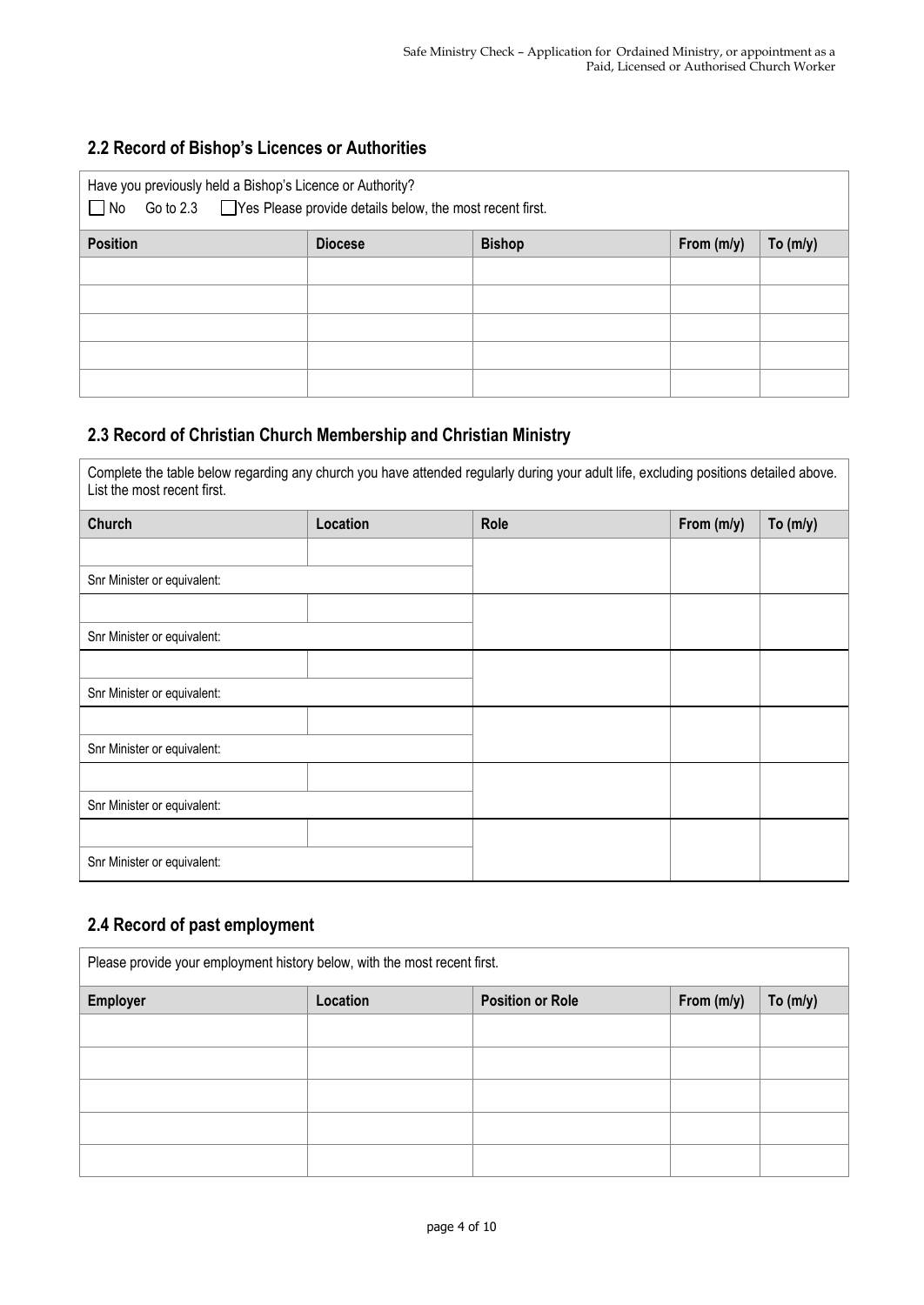#### **2.2 Record of Bishop's Licences or Authorities**

| Have you previously held a Bishop's Licence or Authority?<br>Go to $2.3$ $\Box$ Yes Please provide details below, the most recent first.<br>$\Box$ No |                |               |            |            |
|-------------------------------------------------------------------------------------------------------------------------------------------------------|----------------|---------------|------------|------------|
| <b>Position</b>                                                                                                                                       | <b>Diocese</b> | <b>Bishop</b> | From (m/y) | To $(m/y)$ |
|                                                                                                                                                       |                |               |            |            |
|                                                                                                                                                       |                |               |            |            |
|                                                                                                                                                       |                |               |            |            |
|                                                                                                                                                       |                |               |            |            |
|                                                                                                                                                       |                |               |            |            |

#### **2.3 Record of Christian Church Membership and Christian Ministry**

Complete the table below regarding any church you have attended regularly during your adult life, excluding positions detailed above. List the most recent first.

| Church                      | Location | Role | From (m/y) | To $(m/y)$ |
|-----------------------------|----------|------|------------|------------|
|                             |          |      |            |            |
| Snr Minister or equivalent: |          |      |            |            |
|                             |          |      |            |            |
| Snr Minister or equivalent: |          |      |            |            |
|                             |          |      |            |            |
| Snr Minister or equivalent: |          |      |            |            |
|                             |          |      |            |            |
| Snr Minister or equivalent: |          |      |            |            |
|                             |          |      |            |            |
| Snr Minister or equivalent: |          |      |            |            |
|                             |          |      |            |            |
| Snr Minister or equivalent: |          |      |            |            |

#### **2.4 Record of past employment**

| Please provide your employment history below, with the most recent first. |          |                         |            |            |
|---------------------------------------------------------------------------|----------|-------------------------|------------|------------|
| <b>Employer</b>                                                           | Location | <b>Position or Role</b> | From (m/y) | To $(m/y)$ |
|                                                                           |          |                         |            |            |
|                                                                           |          |                         |            |            |
|                                                                           |          |                         |            |            |
|                                                                           |          |                         |            |            |
|                                                                           |          |                         |            |            |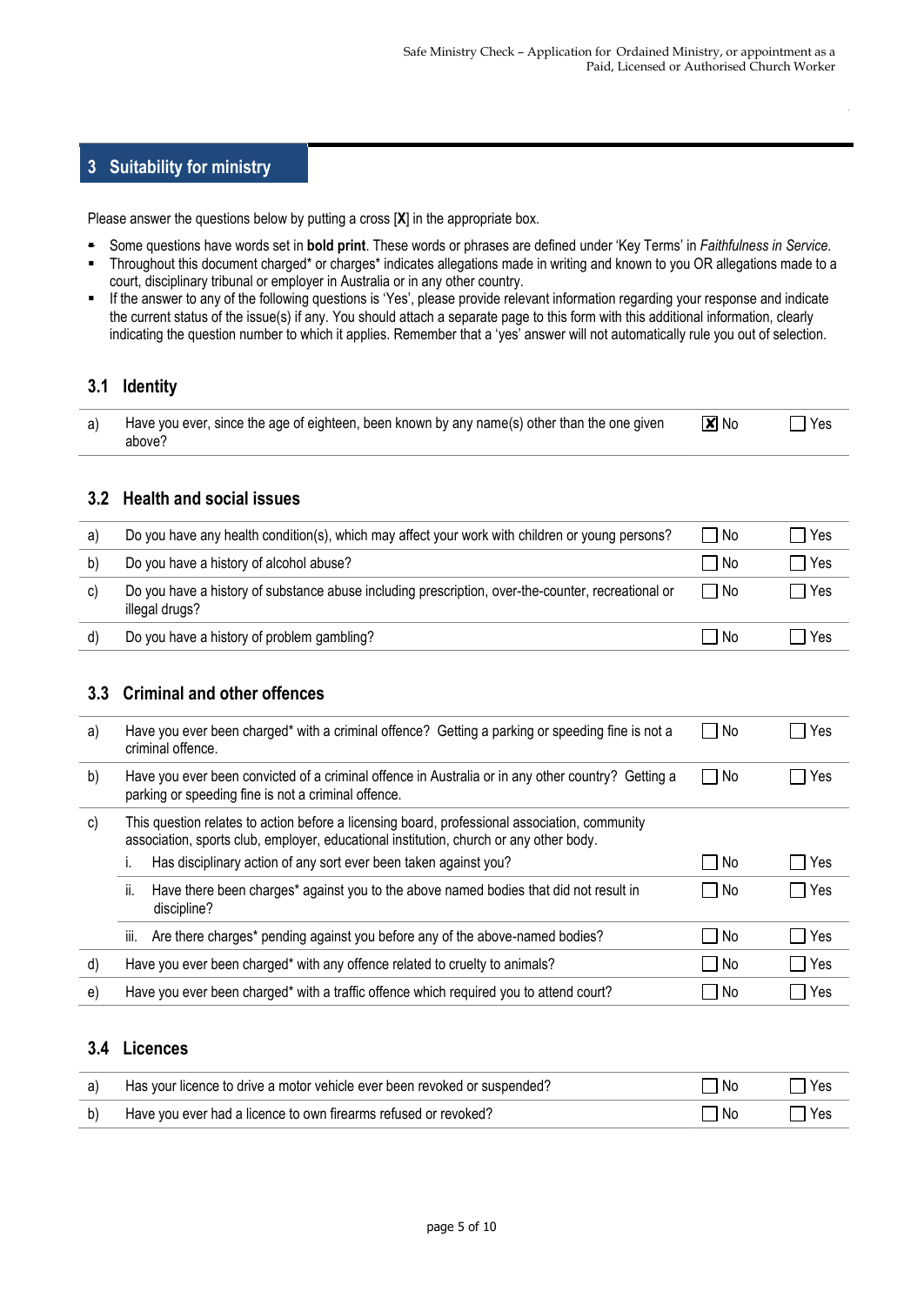#### **3 Suitability for ministry**

Please answer the questions below by putting a cross [**X**] in the appropriate box.

- Some questions have words set in **bold print**. These words or phrases are defined under 'Key Terms' in *Faithfulness in Service.*
- Throughout this document charged\* or charges\* indicates allegations made in writing and known to you OR allegations made to a court, disciplinary tribunal or employer in Australia or in any other country.
- If the answer to any of the following questions is 'Yes', please provide relevant information regarding your response and indicate the current status of the issue(s) if any. You should attach a separate page to this form with this additional information, clearly indicating the question number to which it applies. Remember that a 'yes' answer will not automatically rule you out of selection.

#### **3.1 Identity**

| a) Have you ever, since the age of eighteen, been known by any name(s) other than the one given | $\overline{\mathbf{x}}$ No | $\bigcap$ Yes |
|-------------------------------------------------------------------------------------------------|----------------------------|---------------|
| above?                                                                                          |                            |               |

#### **3.2 Health and social issues**

| a) | Do you have any health condition(s), which may affect your work with children or young persons?                      | l No  | Yes |
|----|----------------------------------------------------------------------------------------------------------------------|-------|-----|
| b) | Do you have a history of alcohol abuse?                                                                              | l No  | Yes |
| C) | Do you have a history of substance abuse including prescription, over-the-counter, recreational or<br>illegal drugs? | l INo | Yes |
| d) | Do you have a history of problem gambling?                                                                           | - No  | Yes |

#### **3.3 Criminal and other offences**

| a) | Have you ever been charged* with a criminal offence? Getting a parking or speeding fine is not a<br>criminal offence.                                                                   | – I No | Yes |
|----|-----------------------------------------------------------------------------------------------------------------------------------------------------------------------------------------|--------|-----|
| b) | Have you ever been convicted of a criminal offence in Australia or in any other country? Getting a<br>parking or speeding fine is not a criminal offence.                               | - I No | Yes |
| C) | This question relates to action before a licensing board, professional association, community<br>association, sports club, employer, educational institution, church or any other body. |        |     |
|    | Has disciplinary action of any sort ever been taken against you?                                                                                                                        | – I No | Yes |
|    | Have there been charges* against you to the above named bodies that did not result in<br>Ïİ.<br>discipline?                                                                             | – No   | Yes |
|    | Are there charges* pending against you before any of the above-named bodies?<br>iii.                                                                                                    | No     | Yes |
| d) | Have you ever been charged* with any offence related to cruelty to animals?                                                                                                             | No     | Yes |
| e) | Have you ever been charged* with a traffic offence which required you to attend court?                                                                                                  | No     | Yes |

#### **3.4 Licences**

| a) | Has your licence to drive a motor vehicle ever been revoked or suspended? | No. | Yes |
|----|---------------------------------------------------------------------------|-----|-----|
| b) | Have you ever had a licence to own firearms refused or revoked?           | No. | Yes |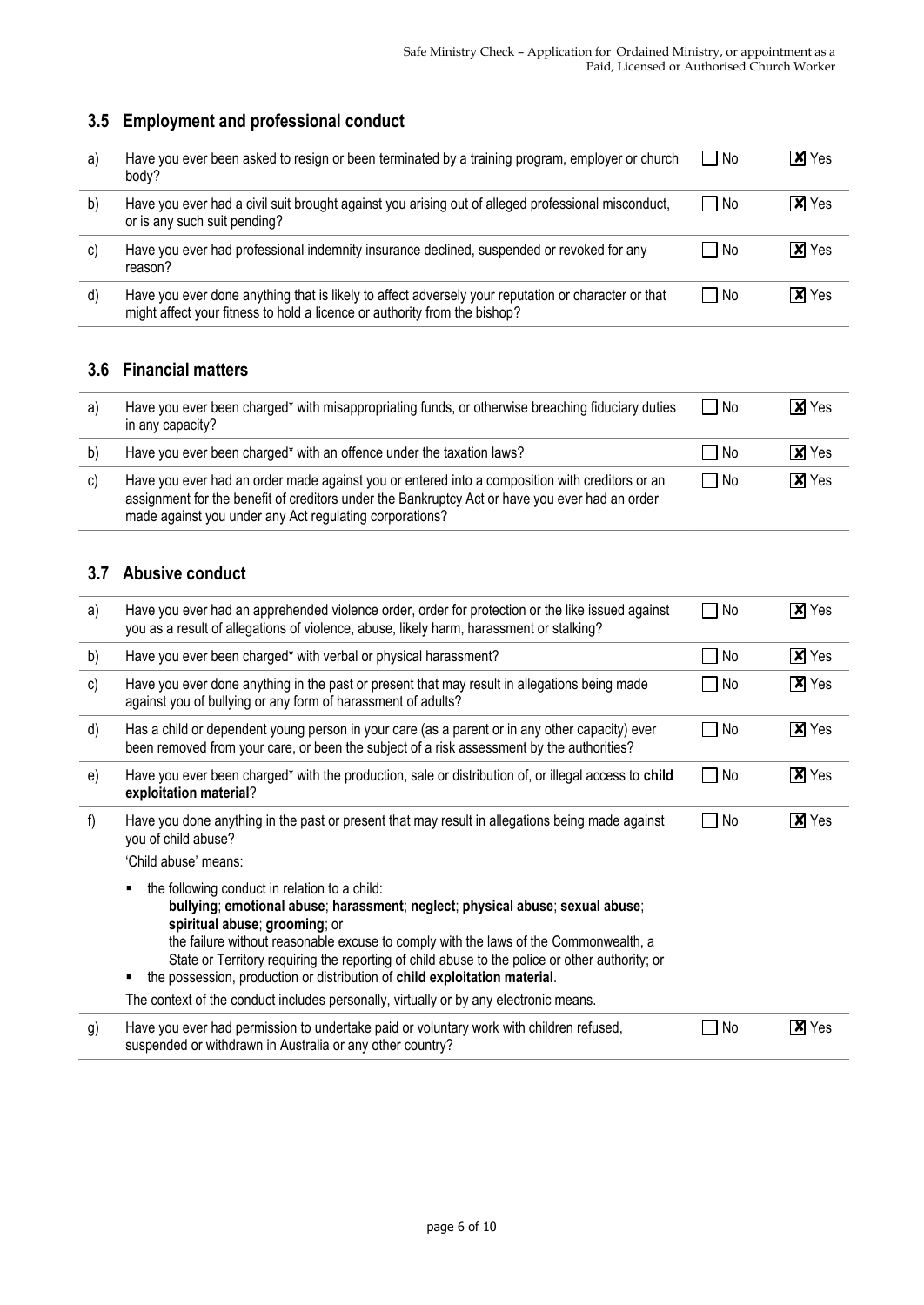## **3.5 Employment and professional conduct**

| a) | Have you ever been asked to resign or been terminated by a training program, employer or church<br>body?                                                                         | l No   | $x$ Yes      |
|----|----------------------------------------------------------------------------------------------------------------------------------------------------------------------------------|--------|--------------|
| b) | Have you ever had a civil suit brought against you arising out of alleged professional misconduct,<br>or is any such suit pending?                                               | l No   | <b>X</b> Yes |
| C) | Have you ever had professional indemnity insurance declined, suspended or revoked for any<br>reason?                                                                             | l No   | <b>X</b> Yes |
| d) | Have you ever done anything that is likely to affect adversely your reputation or character or that<br>might affect your fitness to hold a licence or authority from the bishop? | - I No | <b>X</b> Yes |

## **3.6 Financial matters**

| a) | Have you ever been charged* with misappropriating funds, or otherwise breaching fiduciary duties<br>in any capacity?                                                                                                                                        | No.  | IXI Yes                     |
|----|-------------------------------------------------------------------------------------------------------------------------------------------------------------------------------------------------------------------------------------------------------------|------|-----------------------------|
| b) | Have you ever been charged* with an offence under the taxation laws?                                                                                                                                                                                        | l No | I <b>x</b> I Yes            |
| C) | Have you ever had an order made against you or entered into a composition with creditors or an<br>assignment for the benefit of creditors under the Bankruptcy Act or have you ever had an order<br>made against you under any Act regulating corporations? | □ No | $\overline{\mathsf{x}}$ Yes |

#### **3.7 Abusive conduct**

| a) | Have you ever had an apprehended violence order, order for protection or the like issued against<br>you as a result of allegations of violence, abuse, likely harm, harassment or stalking?                                                                                                                                                                                                                                             | No        | $\overline{\mathsf{x}}$ Yes |
|----|-----------------------------------------------------------------------------------------------------------------------------------------------------------------------------------------------------------------------------------------------------------------------------------------------------------------------------------------------------------------------------------------------------------------------------------------|-----------|-----------------------------|
| b) | Have you ever been charged* with verbal or physical harassment?                                                                                                                                                                                                                                                                                                                                                                         | No        | $\overline{\mathbf{x}}$ Yes |
| c) | Have you ever done anything in the past or present that may result in allegations being made<br>against you of bullying or any form of harassment of adults?                                                                                                                                                                                                                                                                            | No        | $X$ Yes                     |
| d) | Has a child or dependent young person in your care (as a parent or in any other capacity) ever<br>been removed from your care, or been the subject of a risk assessment by the authorities?                                                                                                                                                                                                                                             | $\Box$ No | $\overline{\mathsf{x}}$ Yes |
| e) | Have you ever been charged* with the production, sale or distribution of, or illegal access to child<br>exploitation material?                                                                                                                                                                                                                                                                                                          | $\Box$ No | $\boxed{\mathsf{x}}$ Yes    |
| f) | Have you done anything in the past or present that may result in allegations being made against<br>you of child abuse?                                                                                                                                                                                                                                                                                                                  | No        | $\overline{\mathbf{x}}$ Yes |
|    | 'Child abuse' means:                                                                                                                                                                                                                                                                                                                                                                                                                    |           |                             |
|    | the following conduct in relation to a child:<br>bullying; emotional abuse; harassment; neglect; physical abuse; sexual abuse;<br>spiritual abuse; grooming; or<br>the failure without reasonable excuse to comply with the laws of the Commonwealth, a<br>State or Territory requiring the reporting of child abuse to the police or other authority; or<br>the possession, production or distribution of child exploitation material. |           |                             |
|    | The context of the conduct includes personally, virtually or by any electronic means.                                                                                                                                                                                                                                                                                                                                                   |           |                             |
| g) | Have you ever had permission to undertake paid or voluntary work with children refused,<br>suspended or withdrawn in Australia or any other country?                                                                                                                                                                                                                                                                                    | No        | $\overline{\mathbf{x}}$ Yes |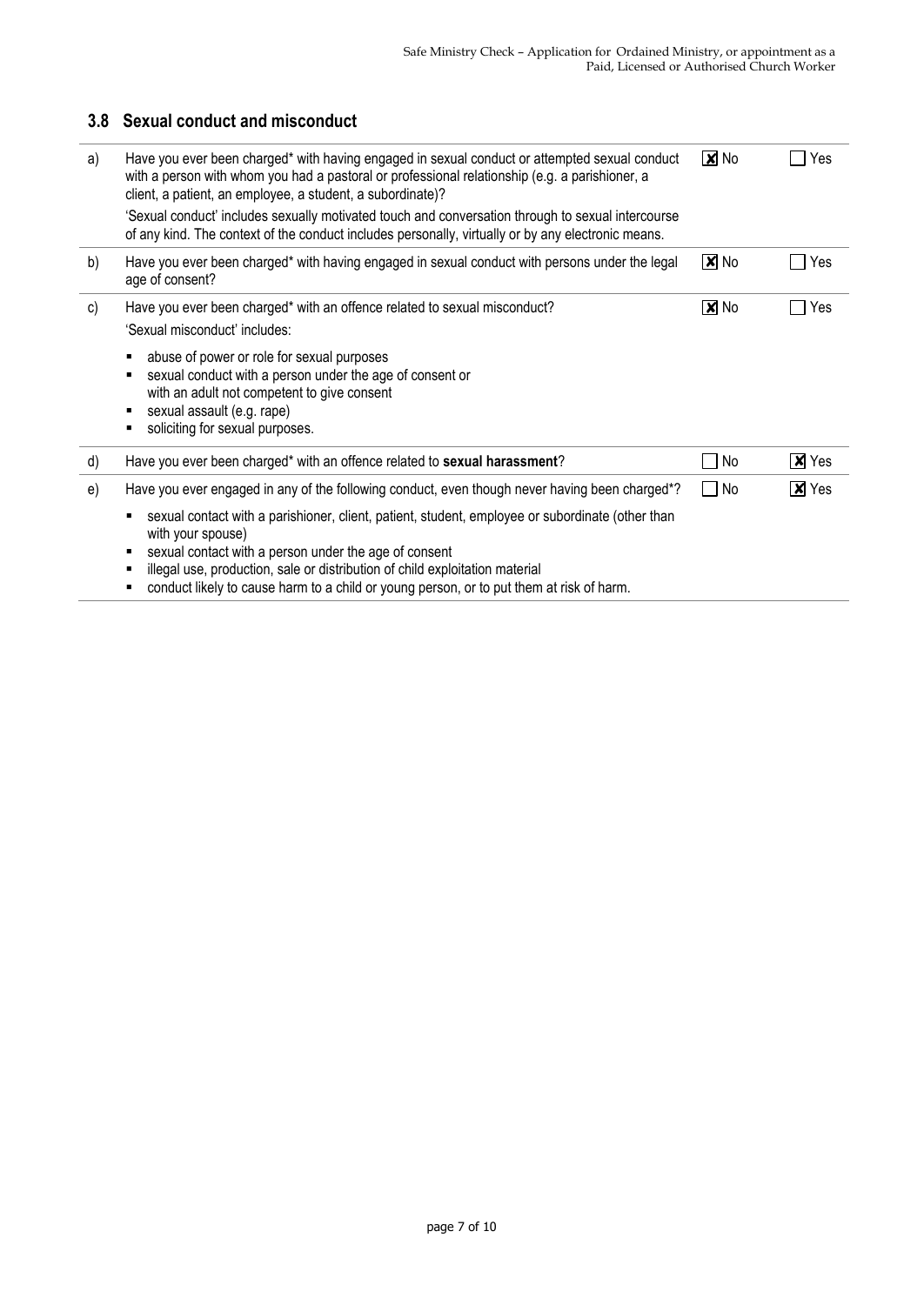## **3.8 Sexual conduct and misconduct**

| a) | Have you ever been charged* with having engaged in sexual conduct or attempted sexual conduct<br>with a person with whom you had a pastoral or professional relationship (e.g. a parishioner, a<br>client, a patient, an employee, a student, a subordinate)?                    | $\boxed{\mathbf{X}}$ No    | Yes            |
|----|----------------------------------------------------------------------------------------------------------------------------------------------------------------------------------------------------------------------------------------------------------------------------------|----------------------------|----------------|
|    | 'Sexual conduct' includes sexually motivated touch and conversation through to sexual intercourse<br>of any kind. The context of the conduct includes personally, virtually or by any electronic means.                                                                          |                            |                |
| b) | Have you ever been charged* with having engaged in sexual conduct with persons under the legal<br>age of consent?                                                                                                                                                                | $\boxed{\mathbf{X}}$ No    | Yes            |
| c) | Have you ever been charged* with an offence related to sexual misconduct?<br>'Sexual misconduct' includes:                                                                                                                                                                       | $\overline{\mathbf{x}}$ No | Yes            |
|    | abuse of power or role for sexual purposes<br>sexual conduct with a person under the age of consent or<br>with an adult not competent to give consent<br>sexual assault (e.g. rape)<br>soliciting for sexual purposes.                                                           |                            |                |
| d) | Have you ever been charged* with an offence related to sexual harassment?                                                                                                                                                                                                        | No                         | $\chi$ Yes     |
| e) | Have you ever engaged in any of the following conduct, even though never having been charged*?<br>sexual contact with a parishioner, client, patient, student, employee or subordinate (other than<br>with your spouse)<br>sexual contact with a person under the age of consent | $\Box$ No                  | $\sqrt{x}$ Yes |
|    | illegal use, production, sale or distribution of child exploitation material<br>. I STIM SE TOS SO STEVIO DO TOS INTERNACIONAL DE SOCIALIZACIONE DE LA CONTRADICACIÓN DE LA CARDINALE DE LA CA                                                                                   |                            |                |

■ conduct likely to cause harm to a child or young person, or to put them at risk of harm.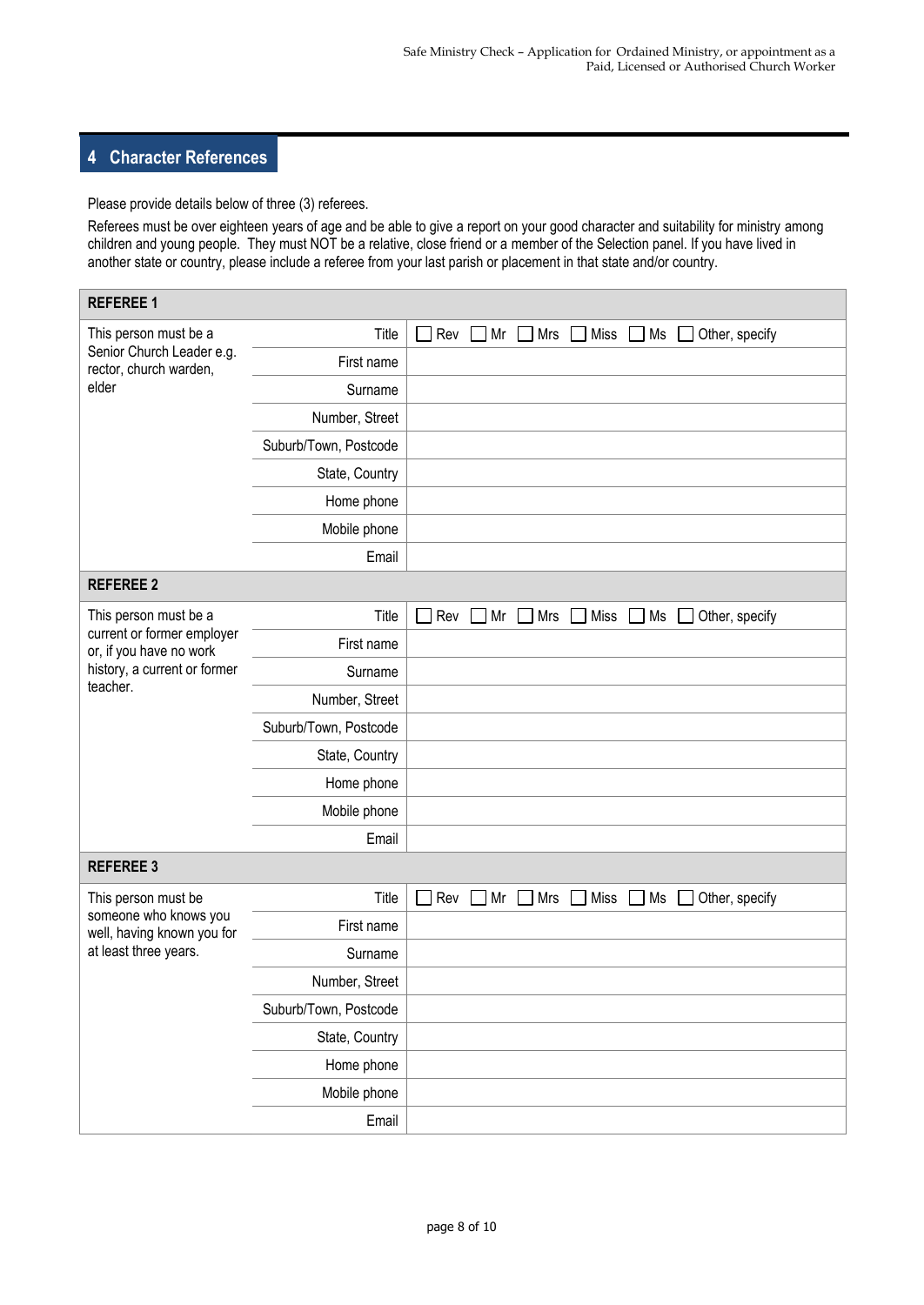#### **4 Character References**

Please provide details below of three (3) referees.

Referees must be over eighteen years of age and be able to give a report on your good character and suitability for ministry among children and young people. They must NOT be a relative, close friend or a member of the Selection panel. If you have lived in another state or country, please include a referee from your last parish or placement in that state and/or country.

| <b>REFEREE 1</b>                                      |                       |                                                                                         |  |  |  |  |
|-------------------------------------------------------|-----------------------|-----------------------------------------------------------------------------------------|--|--|--|--|
| This person must be a                                 | Title                 | <b>X</b> Rev <b>X</b> Mr <b>X</b> Mrs <b>X</b> Miss <b>X</b> Ms <b>X</b> Other, specify |  |  |  |  |
| Senior Church Leader e.g.<br>rector, church warden,   | First name            | gfhfdghfgh                                                                              |  |  |  |  |
| elder                                                 | Surname               | dsfsafsdfsadfsdf                                                                        |  |  |  |  |
|                                                       | Number, Street        | sdfasdfsadfsdf                                                                          |  |  |  |  |
|                                                       | Suburb/Town, Postcode | sadfsadfsdfsdf                                                                          |  |  |  |  |
|                                                       | State, Country        | dsfasdf                                                                                 |  |  |  |  |
|                                                       | Home phone            | sdafsadfsadfsdf                                                                         |  |  |  |  |
|                                                       | Mobile phone          | sdfasdfsadfsdf                                                                          |  |  |  |  |
|                                                       | Email                 | dsfasfasfsafsadfsadff                                                                   |  |  |  |  |
| <b>REFEREE 2</b>                                      |                       |                                                                                         |  |  |  |  |
| This person must be a                                 | Title                 | Miss<br>Rev<br>Mr<br>Mrs<br>Ms<br>Other, specify                                        |  |  |  |  |
| current or former employer<br>or, if you have no work | First name            |                                                                                         |  |  |  |  |
| history, a current or former                          | Surname               |                                                                                         |  |  |  |  |
| teacher.                                              | Number, Street        |                                                                                         |  |  |  |  |
|                                                       | Suburb/Town, Postcode |                                                                                         |  |  |  |  |
|                                                       | State, Country        |                                                                                         |  |  |  |  |
|                                                       | Home phone            |                                                                                         |  |  |  |  |
|                                                       | Mobile phone          |                                                                                         |  |  |  |  |
|                                                       | Email                 | willbrowneyseen                                                                         |  |  |  |  |
| <b>REFEREE 3</b>                                      |                       |                                                                                         |  |  |  |  |
| This person must be                                   | Title                 | Rev<br>Miss<br>Mr<br>Mrs<br>Ms<br>Other, specify                                        |  |  |  |  |
| someone who knows you<br>well, having known you for   | First name            |                                                                                         |  |  |  |  |
| at least three years.                                 | Surname               |                                                                                         |  |  |  |  |
|                                                       | Number, Street        | $\equiv$                                                                                |  |  |  |  |
|                                                       | Suburb/Town, Postcode |                                                                                         |  |  |  |  |
|                                                       | State, Country        |                                                                                         |  |  |  |  |
|                                                       | Home phone            |                                                                                         |  |  |  |  |
|                                                       | Mobile phone          |                                                                                         |  |  |  |  |
|                                                       | Email                 |                                                                                         |  |  |  |  |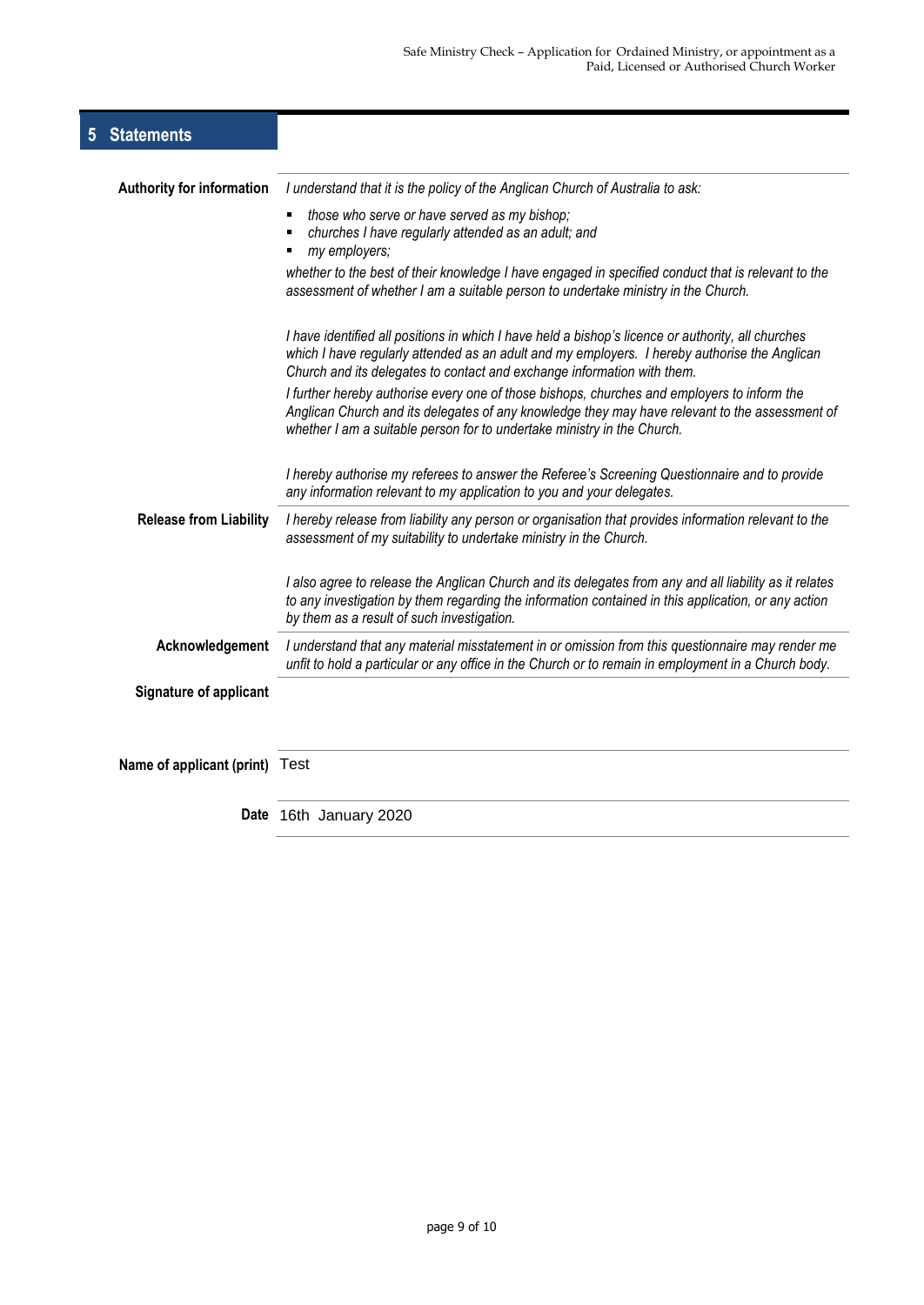| 5 | <b>Statements</b>                |                                                                                                                                                                                                                                                                                |
|---|----------------------------------|--------------------------------------------------------------------------------------------------------------------------------------------------------------------------------------------------------------------------------------------------------------------------------|
|   | <b>Authority for information</b> | I understand that it is the policy of the Anglican Church of Australia to ask:                                                                                                                                                                                                 |
|   |                                  | those who serve or have served as my bishop;<br>٠<br>churches I have regularly attended as an adult; and<br>my employers;                                                                                                                                                      |
|   |                                  | whether to the best of their knowledge I have engaged in specified conduct that is relevant to the<br>assessment of whether I am a suitable person to undertake ministry in the Church.                                                                                        |
|   |                                  | I have identified all positions in which I have held a bishop's licence or authority, all churches<br>which I have regularly attended as an adult and my employers. I hereby authorise the Anglican<br>Church and its delegates to contact and exchange information with them. |
|   |                                  | I further hereby authorise every one of those bishops, churches and employers to inform the<br>Anglican Church and its delegates of any knowledge they may have relevant to the assessment of<br>whether I am a suitable person for to undertake ministry in the Church.       |
|   |                                  | I hereby authorise my referees to answer the Referee's Screening Questionnaire and to provide<br>any information relevant to my application to you and your delegates.                                                                                                         |
|   | <b>Release from Liability</b>    | I hereby release from liability any person or organisation that provides information relevant to the<br>assessment of my suitability to undertake ministry in the Church.                                                                                                      |
|   |                                  | I also agree to release the Anglican Church and its delegates from any and all liability as it relates<br>to any investigation by them regarding the information contained in this application, or any action<br>by them as a result of such investigation.                    |
|   | Acknowledgement                  | I understand that any material misstatement in or omission from this questionnaire may render me<br>unfit to hold a particular or any office in the Church or to remain in employment in a Church body.                                                                        |
|   | Signature of applicant           |                                                                                                                                                                                                                                                                                |
|   | Name of applicant (print) Test   |                                                                                                                                                                                                                                                                                |
|   |                                  | Date 16th January 2020                                                                                                                                                                                                                                                         |